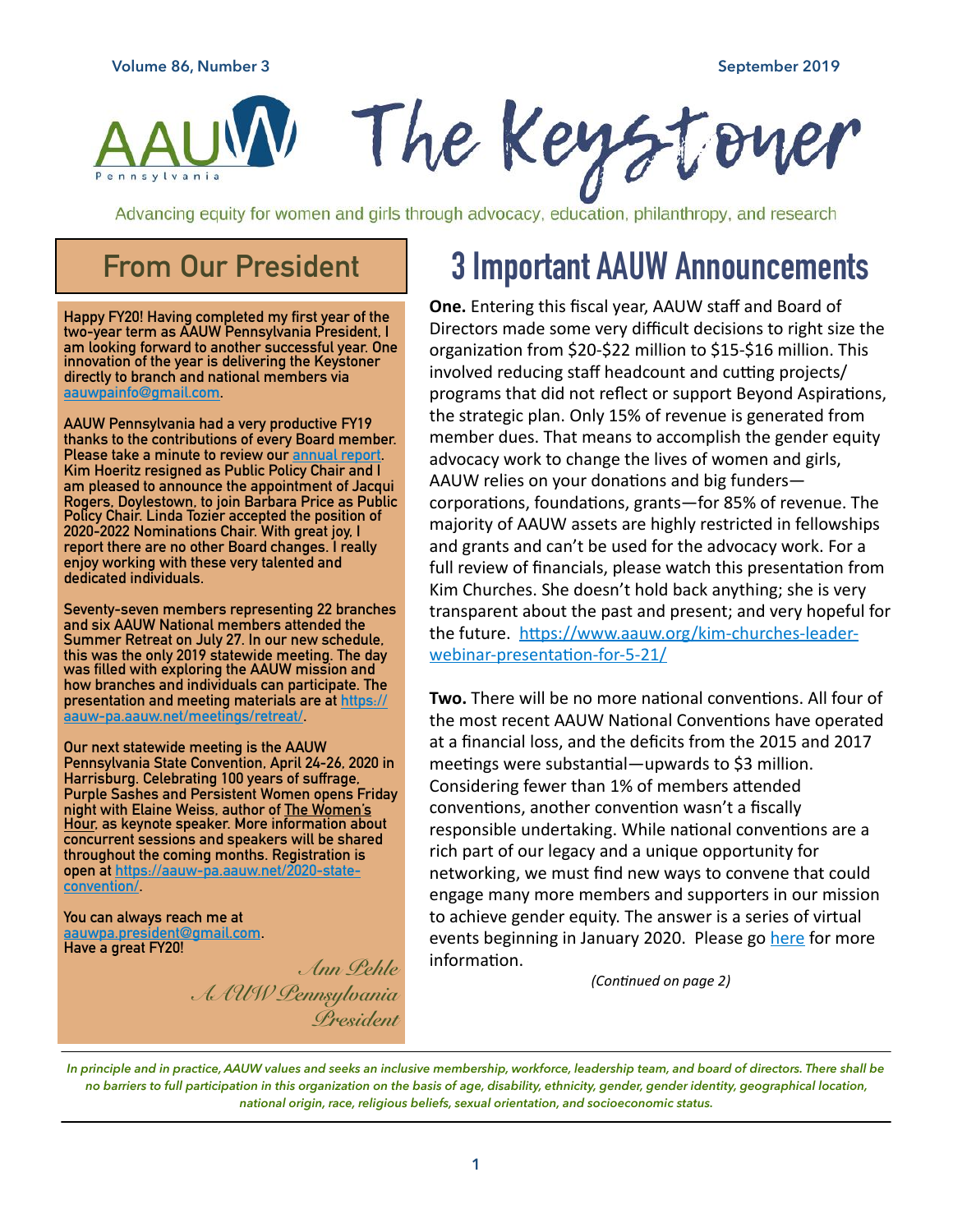

Advancing equity for women and girls through advocacy, education, philanthropy, and research

#### **From Our President**

**Happy FY20! Having completed my first year of the two-year term as AAUW Pennsylvania President, I am looking forward to another successful year. One innovation of the year is delivering the Keystoner directly to branch and national members via [aauwpainfo@gmail.com](mailto:aauwpainfo@gmail.com).** 

**AAUW Pennsylvania had a very productive FY19 thanks to the contributions of every Board member. Please take a minute to review our [annual report.](https://aauw-pa.aauw.net/files/2019/07/AAUW-PA-Strategic-Plan-2018-20-FINAL-1.pdf) Kim Hoeritz resigned as Public Pol[icy Chair and I](https://aauw-pa.aauw.net/files/2019/07/AAUW-PA-Strategic-Plan-2018-20-FINAL-1.pdf)  am pleased to announce the appointment of Jacqui Rogers, Doylestown, to join Barbara Price as Public Policy Chair. Linda Tozier accepted the position of 2020-2022 Nominations Chair. With great joy, I report there are no other Board changes. I really enjoy working with these very talented and dedicated individuals.** 

**Seventy-seven members representing 22 branches and six AAUW National members attended the Summer Retreat on July 27. In our new schedule, this was the only 2019 statewide meeting. The day was filled with exploring the AAUW mission and how branches and individuals can participate. The presentation and meeting materials are at [https://](https://aauw-pa.aauw.net/meetings/retreat/) [aauw-pa.aauw.net/meetings/retreat/.](https://aauw-pa.aauw.net/meetings/retreat/)** 

**Our next statewide meeting is the AAUW Pennsylvania State Convention, April 24-26, 2020 in Harrisburg. Celebrating 100 years of suffrage, Purple Sashes and Persistent Women opens Friday night with Elaine Weiss, author of The Women's Hour, as keynote speaker. More information about concurrent sessions and speakers will be shared throughout the coming months. Registration is [open at https://aauw-pa.aauw.net/2020-state](https://aauw-pa.aauw.net/2020-state-convention/)[convention/](https://aauw-pa.aauw.net/2020-state-convention/).** 

**You can always reach me at [aauwpa.president@gmail.com.](mailto:aauwpa.president@gmail.com) Have a great FY20!** 

> *Ann Pehle AAUW Pennsylvania President*

### **3 Important AAUW Announcements**

**One.** Entering this fiscal year, AAUW staff and Board of Directors made some very difficult decisions to right size the organization from \$20-\$22 million to \$15-\$16 million. This involved reducing staff headcount and cutting projects/ programs that did not reflect or support Beyond Aspirations, the strategic plan. Only 15% of revenue is generated from member dues. That means to accomplish the gender equity advocacy work to change the lives of women and girls, AAUW relies on your donations and big funderscorporations, foundations, grants—for 85% of revenue. The majority of AAUW assets are highly restricted in fellowships and grants and can't be used for the advocacy work. For a full review of financials, please watch this presentation from Kim Churches. She doesn't hold back anything; she is very transparent about the past and present; and very hopeful for the future. https://www.aauw.org/kim-churches-leaderwebinar-presentation-for-5-21/

**Two.** There will be no more national conventions. All four of the most recent AAUW National Conventions have operated at a financial loss, and the deficits from the 2015 and 2017 meetings were substantial—upwards to \$3 million. Considering fewer than 1% of members attended conventions, another convention wasn't a fiscally responsible undertaking. While national conventions are a rich part of our legacy and a unique opportunity for networking, we must find new ways to convene that could engage many more members and supporters in our mission to achieve gender equity. The answer is a series of virtual events beginning in January 2020. Please go [here](https://www.aauw.org/convention/) for more information.

*(Con%nued on page 2)* 

*In principle and in practice, AAUW values and seeks an inclusive membership, workforce, leadership team, and board of directors. There shall be no barriers to full participation in this organization on the basis of age, disability, ethnicity, gender, gender identity, geographical location, national origin, race, religious beliefs, sexual orientation, and socioeconomic status.*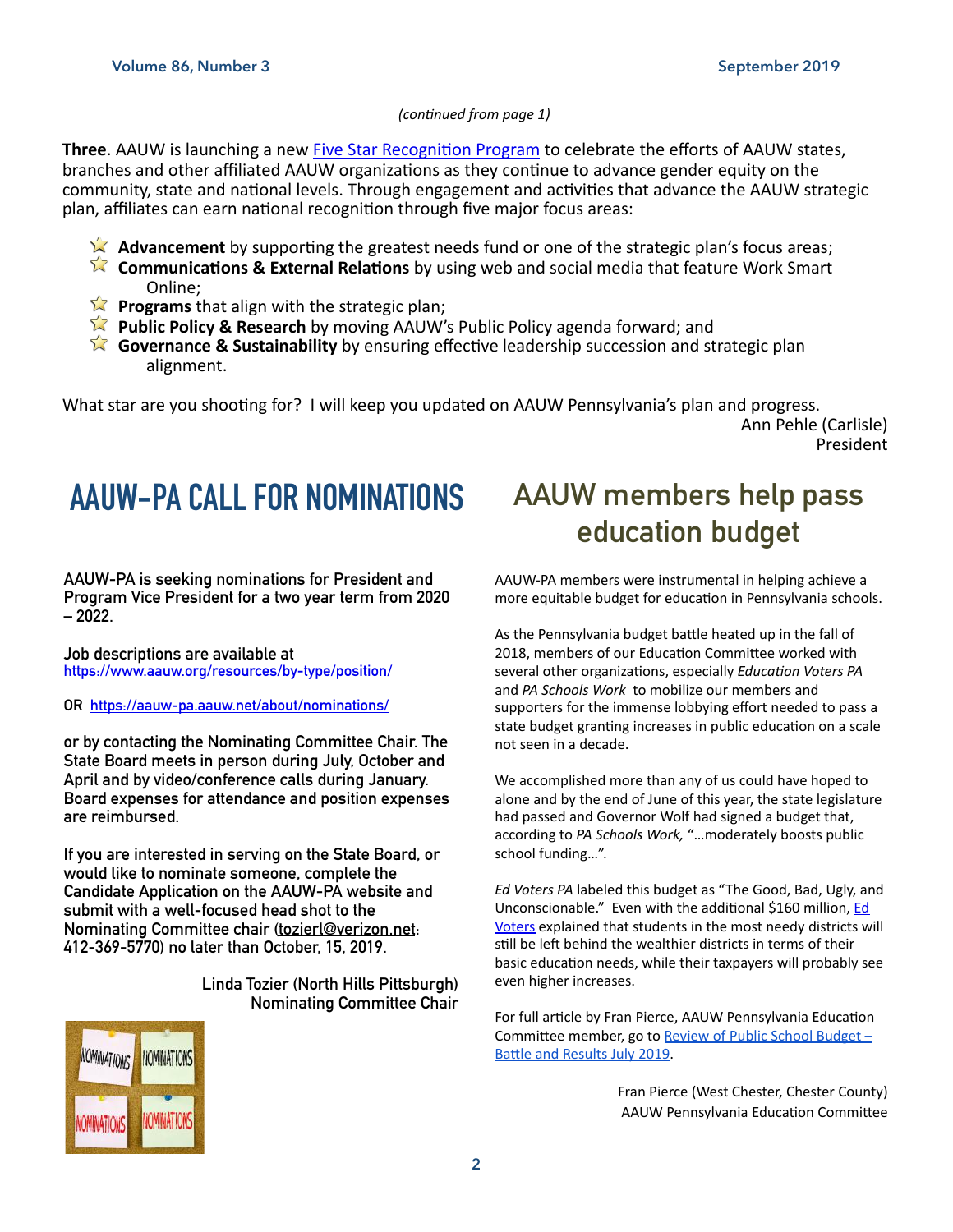#### *(con%nued from page 1)*

**Three**. AAUW is launching a new Five Star Recognition Program to celebrate the efforts of AAUW states, branches and other affiliated AAUW organizations as they continue to advance gender equity on the community, state and national levels. Through engagement and activities that advance the AAUW strategic plan, affiliates can earn national recognition through five major focus areas:

- $\lambda$  **Advancement** by supporting the greatest needs fund or one of the strategic plan's focus areas;
- **Communications & External Relations** by using web and social media that feature Work Smart Online;
- **Programs** that align with the strategic plan;
- **Public Policy & Research** by moving AAUW's Public Policy agenda forward; and
- **Governance & Sustainability** by ensuring effective leadership succession and strategic plan alignment.

What star are you shooting for? I will keep you updated on AAUW Pennsylvania's plan and progress.

Ann Pehle (Carlisle) President

### **AAUW-PA CALL FOR NOMINATIONS AAUW members help pass**

**AAUW-PA is seeking nominations for President and Program Vice President for a two year term from 2020 – 2022.** 

**Job descriptions are available at <https://www.aauw.org/resources/by-type/position/>**

**OR <https://aauw-pa.aauw.net/about/nominations/>**

**or by contacting the Nominating Committee Chair. The State Board meets in person during July, October and April and by video/conference calls during January. Board expenses for attendance and position expenses are reimbursed.** 

**If you are interested in serving on the State Board, or would like to nominate someone, complete the Candidate Application on the AAUW-PA website and submit with a well-focused head shot to the Nominating Committee chair [\(tozierl@verizon.net](mailto:tozierl@verizon.net); 412-369-5770) no later than October, 15, 2019.** 

> **Linda Tozier (North Hills Pittsburgh) Nominating Committee Chair**



# **education budget**

AAUW-PA members were instrumental in helping achieve a more equitable budget for education in Pennsylvania schools.

As the Pennsylvania budget battle heated up in the fall of 2018, members of our Education Committee worked with several other organizations, especially *Education Voters PA* and *PA Schools Work* to mobilize our members and supporters for the immense lobbying effort needed to pass a state budget granting increases in public education on a scale not seen in a decade.

We accomplished more than any of us could have hoped to alone and by the end of June of this year, the state legislature had passed and Governor Wolf had signed a budget that, according to *PA Schools Work,* "…moderately boosts public school funding…".

*Ed Voters PA* labeled this budget as "The Good, Bad, Ugly, and Unconscionable." Even with the additional \$160 million, Ed [Voters](http://educationvoterspa.org) explained that students in the most needy districts will still be left behind the wealthier districts in terms of their basic education needs, while their taxpayers will probably see even higher increases.

For full article by Fran Pierce, AAUW Pennsylvania Education Committee member, go to Review of Public School Budget – Battle and Results July 2019.

> Fran Pierce (West Chester, Chester County) AAUW Pennsylvania Education Committee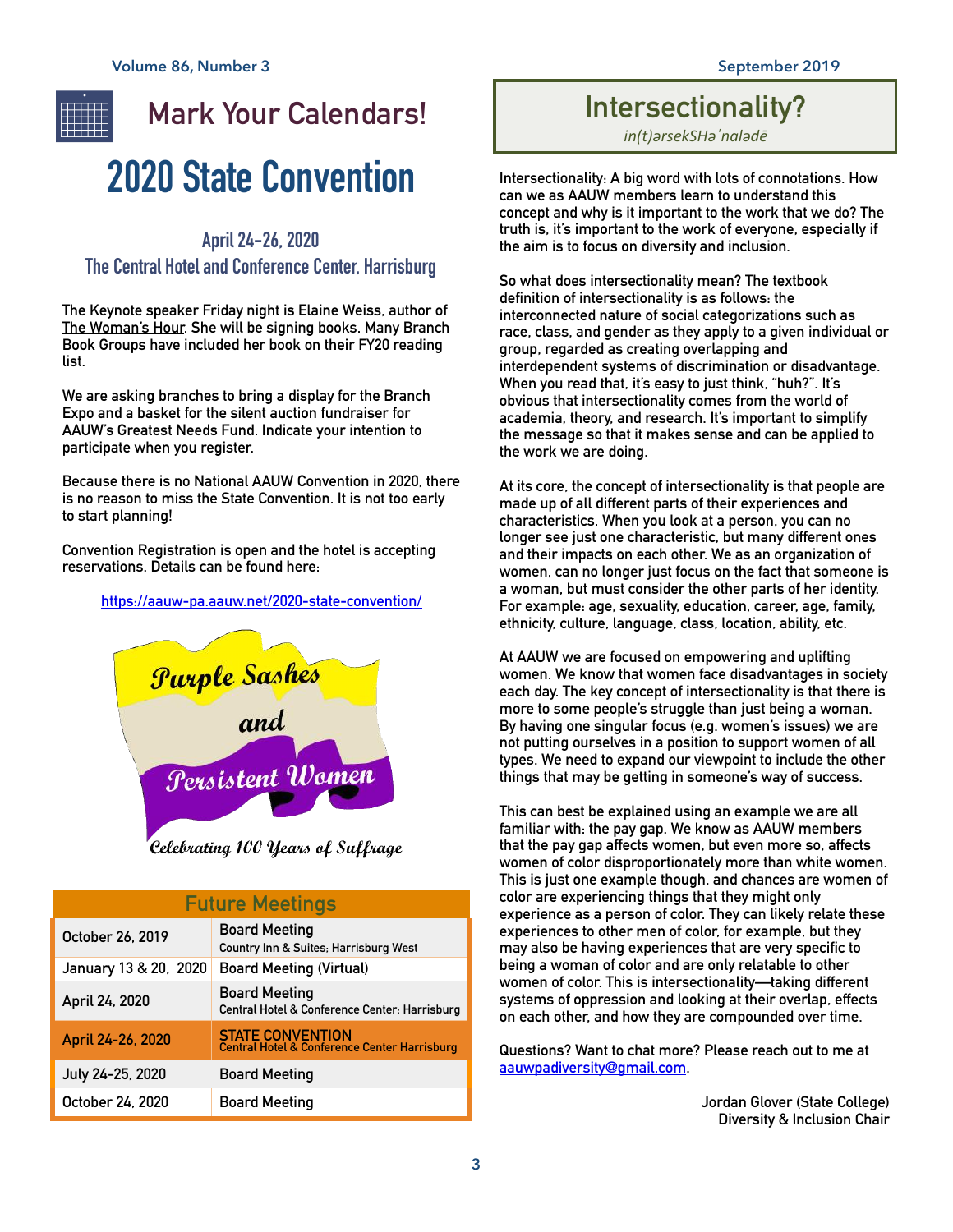

### **2020 State Convention**

#### **April 24-26, 2020**

#### **The Central Hotel and Conference Center, Harrisburg**

**The Keynote speaker Friday night is Elaine Weiss, author of The Woman's Hour. She will be signing books. Many Branch Book Groups have included her book on their FY20 reading list.** 

**We are asking branches to bring a display for the Branch Expo and a basket for the silent auction fundraiser for AAUW's Greatest Needs Fund. Indicate your intention to participate when you register.** 

**Because there is no National AAUW Convention in 2020, there is no reason to miss the State Convention. It is not too early to start planning!** 

**Convention Registration is open and the hotel is accepting reservations. Details can be found here:** 

**<https://aauw-pa.aauw.net/2020-state-convention/>**



Celebrating 100 Years of Suffrage

| <b>Future Meetings</b> |                                                                                    |  |
|------------------------|------------------------------------------------------------------------------------|--|
| October 26, 2019       | <b>Board Meeting</b><br>Country Inn & Suites, Harrisburg West                      |  |
| January 13 & 20, 2020  | <b>Board Meeting (Virtual)</b>                                                     |  |
| April 24, 2020         | <b>Board Meeting</b><br>Central Hotel & Conference Center; Harrisburg              |  |
| April 24-26, 2020      | <b>STATE CONVENTION</b><br><b>Central Hotel &amp; Conference Center Harrisburg</b> |  |
| July 24-25, 2020       | <b>Board Meeting</b>                                                               |  |
| October 24, 2020       | Board Meeting                                                                      |  |

#### **Intersectionality?**

*in(t)ərsekSHəˈnalədē*

**Intersectionality: A big word with lots of connotations. How can we as AAUW members learn to understand this concept and why is it important to the work that we do? The truth is, it's important to the work of everyone, especially if the aim is to focus on diversity and inclusion.** 

**So what does intersectionality mean? The textbook definition of intersectionality is as follows: the interconnected nature of social categorizations such as race, class, and gender as they apply to a given individual or group, regarded as creating overlapping and interdependent systems of discrimination or disadvantage. When you read that, it's easy to just think, "huh?". It's obvious that intersectionality comes from the world of academia, theory, and research. It's important to simplify the message so that it makes sense and can be applied to the work we are doing.** 

**At its core, the concept of intersectionality is that people are made up of all different parts of their experiences and characteristics. When you look at a person, you can no longer see just one characteristic, but many different ones and their impacts on each other. We as an organization of women, can no longer just focus on the fact that someone is a woman, but must consider the other parts of her identity. For example: age, sexuality, education, career, age, family, ethnicity, culture, language, class, location, ability, etc.** 

**At AAUW we are focused on empowering and uplifting women. We know that women face disadvantages in society each day. The key concept of intersectionality is that there is more to some people's struggle than just being a woman. By having one singular focus (e.g. women's issues) we are not putting ourselves in a position to support women of all types. We need to expand our viewpoint to include the other things that may be getting in someone's way of success.** 

**This can best be explained using an example we are all familiar with: the pay gap. We know as AAUW members that the pay gap affects women, but even more so, affects women of color disproportionately more than white women. This is just one example though, and chances are women of color are experiencing things that they might only experience as a person of color. They can likely relate these experiences to other men of color, for example, but they may also be having experiences that are very specific to being a woman of color and are only relatable to other women of color. This is intersectionality—taking different systems of oppression and looking at their overlap, effects on each other, and how they are compounded over time.** 

**Questions? Want to chat more? Please reach out to me at [aauwpadiversity@gmail.com](mailto:aauwpadiversity@gmail.com).** 

> **Jordan Glover (State College) Diversity & Inclusion Chair**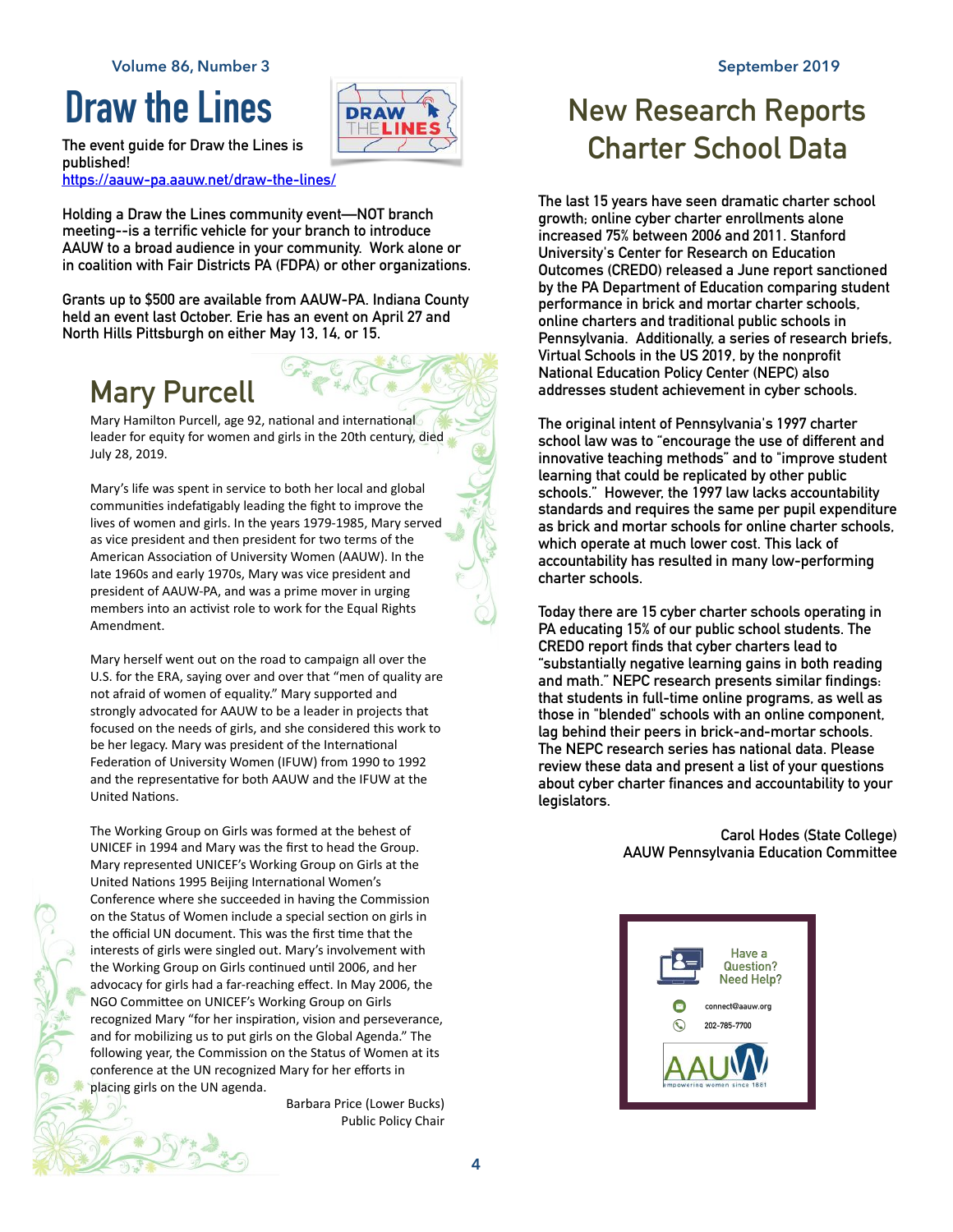### **Draw the Lines**



**The event guide for Draw the Lines is published! <https://aauw-pa.aauw.net/draw-the-lines/>**

**Holding a Draw the Lines community event—NOT branch meeting--is a terrific vehicle for your branch to introduce AAUW to a broad audience in your community. Work alone or in coalition with Fair Districts PA (FDPA) or other organizations.** 

**Grants up to \$500 are available from AAUW-PA. Indiana County held an event last October. Erie has an event on April 27 and North Hills Pittsburgh on either May 13, 14, or 15.** 

### **Mary Purcell**

Mary Hamilton Purcell, age 92, national and international leader for equity for women and girls in the 20th century, died July 28, 2019.

Mary's life was spent in service to both her local and global communities indefatigably leading the fight to improve the lives of women and girls. In the years 1979-1985, Mary served as vice president and then president for two terms of the American Association of University Women (AAUW). In the late 1960s and early 1970s, Mary was vice president and president of AAUW-PA, and was a prime mover in urging members into an activist role to work for the Equal Rights Amendment.

Mary herself went out on the road to campaign all over the U.S. for the ERA, saying over and over that "men of quality are not afraid of women of equality." Mary supported and strongly advocated for AAUW to be a leader in projects that focused on the needs of girls, and she considered this work to be her legacy. Mary was president of the International Federation of University Women (IFUW) from 1990 to 1992 and the representative for both AAUW and the IFUW at the United Nations.

The Working Group on Girls was formed at the behest of UNICEF in 1994 and Mary was the first to head the Group. Mary represented UNICEF's Working Group on Girls at the United Nations 1995 Beijing International Women's Conference where she succeeded in having the Commission on the Status of Women include a special section on girls in the official UN document. This was the first time that the interests of girls were singled out. Mary's involvement with the Working Group on Girls continued until 2006, and her advocacy for girls had a far-reaching effect. In May 2006, the NGO Committee on UNICEF's Working Group on Girls recognized Mary "for her inspiration, vision and perseverance, and for mobilizing us to put girls on the Global Agenda." The following year, the Commission on the Status of Women at its conference at the UN recognized Mary for her efforts in placing girls on the UN agenda.

> Barbara Price (Lower Bucks) Public Policy Chair

### **New Research Reports Charter School Data**

**The last 15 years have seen dramatic charter school growth; online cyber charter enrollments alone increased 75% between 2006 and 2011. Stanford University's Center for Research on Education Outcomes (CREDO) released a June report sanctioned by the PA Department of Education comparing student performance in brick and mortar charter schools, online charters and traditional public schools in Pennsylvania. Additionally, a series of research briefs, Virtual Schools in the US 2019, by the nonprofit National Education Policy Center (NEPC) also addresses student achievement in cyber schools.** 

**The original intent of Pennsylvania's 1997 charter school law was to "encourage the use of different and innovative teaching methods" and to "improve student learning that could be replicated by other public schools." However, the 1997 law lacks accountability standards and requires the same per pupil expenditure as brick and mortar schools for online charter schools, which operate at much lower cost. This lack of accountability has resulted in many low-performing charter schools.** 

**Today there are 15 cyber charter schools operating in PA educating 15% of our public school students. The [CREDO report](http://credo.stanford.edu/) finds that cyber charters lead to "substantially negative learning gains in both reading and math." [NEPC research](http://www.apple.com) presents similar findings: that students in full-time online programs, as well as those in "blended" schools with an online component, lag behind their peers in brick-and-mortar schools. The [NEPC research](http://nepc.colorado.edu/publication/virtual-schools-annual-2019) series has national data. Please review these data and present a list of your questions about cyber charter finances and accountability to your legislators.** 

> **Carol Hodes (State College) AAUW Pennsylvania Education Committee**

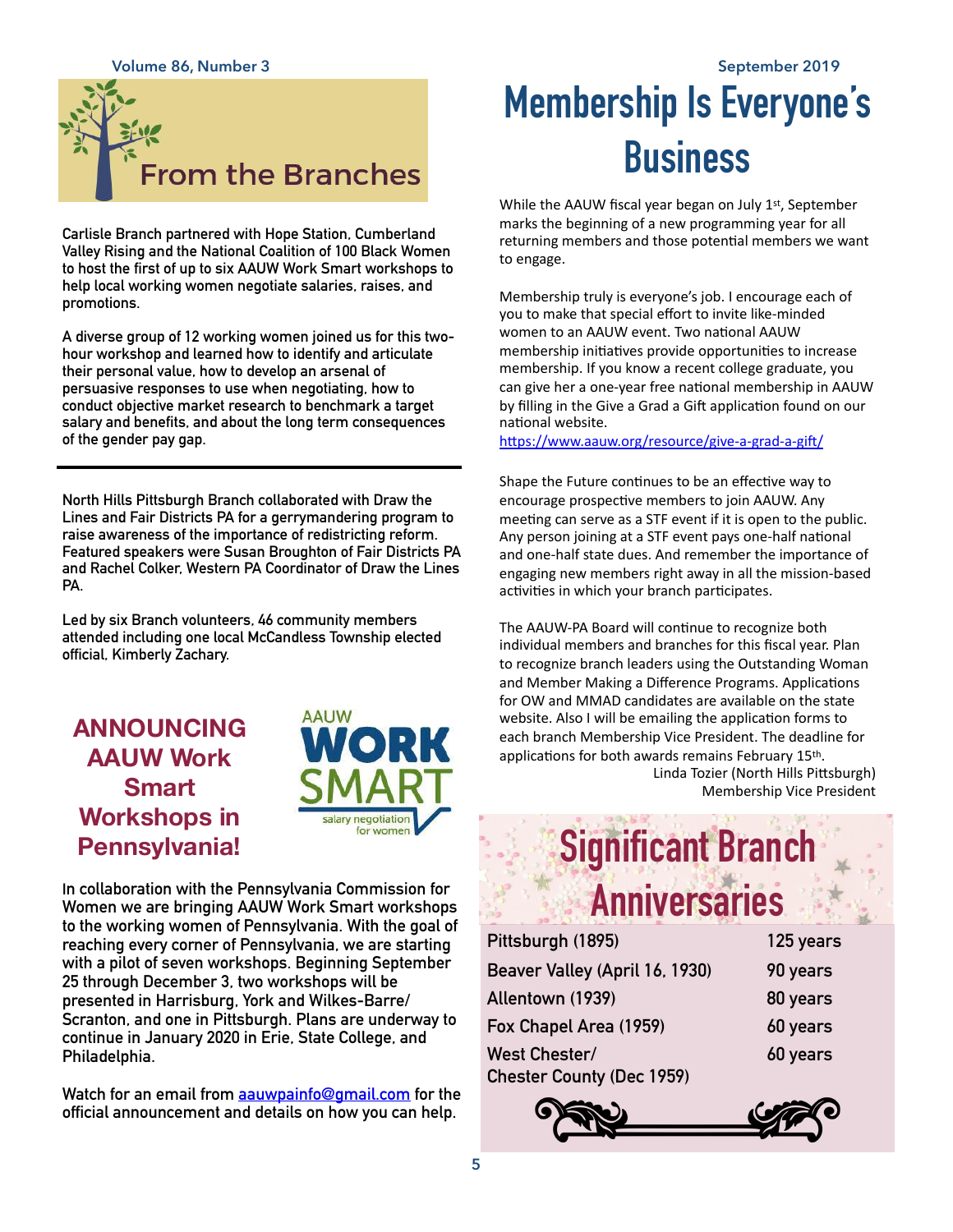

**Carlisle Branch partnered with Hope Station, Cumberland Valley Rising and the National Coalition of 100 Black Women to host the first of up to six AAUW Work Smart workshops to help local working women negotiate salaries, raises, and promotions.** 

**A diverse group of 12 working women joined us for this twohour workshop and learned how to identify and articulate their personal value, how to develop an arsenal of persuasive responses to use when negotiating, how to conduct objective market research to benchmark a target salary and benefits, and about the long term consequences of the gender pay gap.**

**North Hills Pittsburgh Branch collaborated with Draw the Lines and Fair Districts PA for a gerrymandering program to raise awareness of the importance of redistricting reform. Featured speakers were Susan Broughton of Fair Districts PA and Rachel Colker, Western PA Coordinator of Draw the Lines PA.** 

**Led by six Branch volunteers, 46 community members attended including one local McCandless Township elected official, Kimberly Zachary.**

#### **ANNOUNCING AAUW Work Smart Workshops in Pennsylvania!**



**In collaboration with the Pennsylvania Commission for Women we are bringing AAUW Work Smart workshops to the working women of Pennsylvania. With the goal of reaching every corner of Pennsylvania, we are starting with a pilot of seven workshops. Beginning September 25 through December 3, two workshops will be presented in Harrisburg, York and Wilkes-Barre/ Scranton, and one in Pittsburgh. Plans are underway to continue in January 2020 in Erie, State College, and Philadelphia.** 

**Watch for an email from [aauwpainfo@gmail.com](mailto:aauwpainfo@gmail.com) for the official announcement and details on how you can help.**

### **Volume 86, Number 3 September 2019 Membership Is Everyone's Business**

While the AAUW fiscal year began on July 1<sup>st</sup>, September marks the beginning of a new programming year for all returning members and those potential members we want to engage.

Membership truly is everyone's job. I encourage each of you to make that special effort to invite like-minded women to an AAUW event. Two national AAUW membership initiatives provide opportunities to increase membership. If you know a recent college graduate, you can give her a one-year free national membership in AAUW by filling in the Give a Grad a Gift application found on our national website.

https://www.aauw.org/resource/give-a-grad-a-gift/

Shape the Future continues to be an effective way to encourage prospective members to join AAUW. Any meeting can serve as a STF event if it is open to the public. Any person joining at a STF event pays one-half national and one-half state dues. And remember the importance of engaging new members right away in all the mission-based activities in which your branch participates.

The AAUW-PA Board will continue to recognize both individual members and branches for this fiscal year. Plan to recognize branch leaders using the Outstanding Woman and Member Making a Difference Programs. Applications for OW and MMAD candidates are available on the state website. Also I will be emailing the application forms to each branch Membership Vice President. The deadline for applications for both awards remains February 15th. Linda Tozier (North Hills Pittsburgh) Membership Vice President

## **Significant Branch Anniversaries**

| Pittsburgh (1895)                | 125 years |
|----------------------------------|-----------|
| Beaver Valley (April 16, 1930)   | 90 years  |
| Allentown (1939)                 | 80 years  |
| Fox Chapel Area (1959)           | 60 years  |
| West Chester/                    | 60 years  |
| <b>Chester County (Dec 1959)</b> |           |

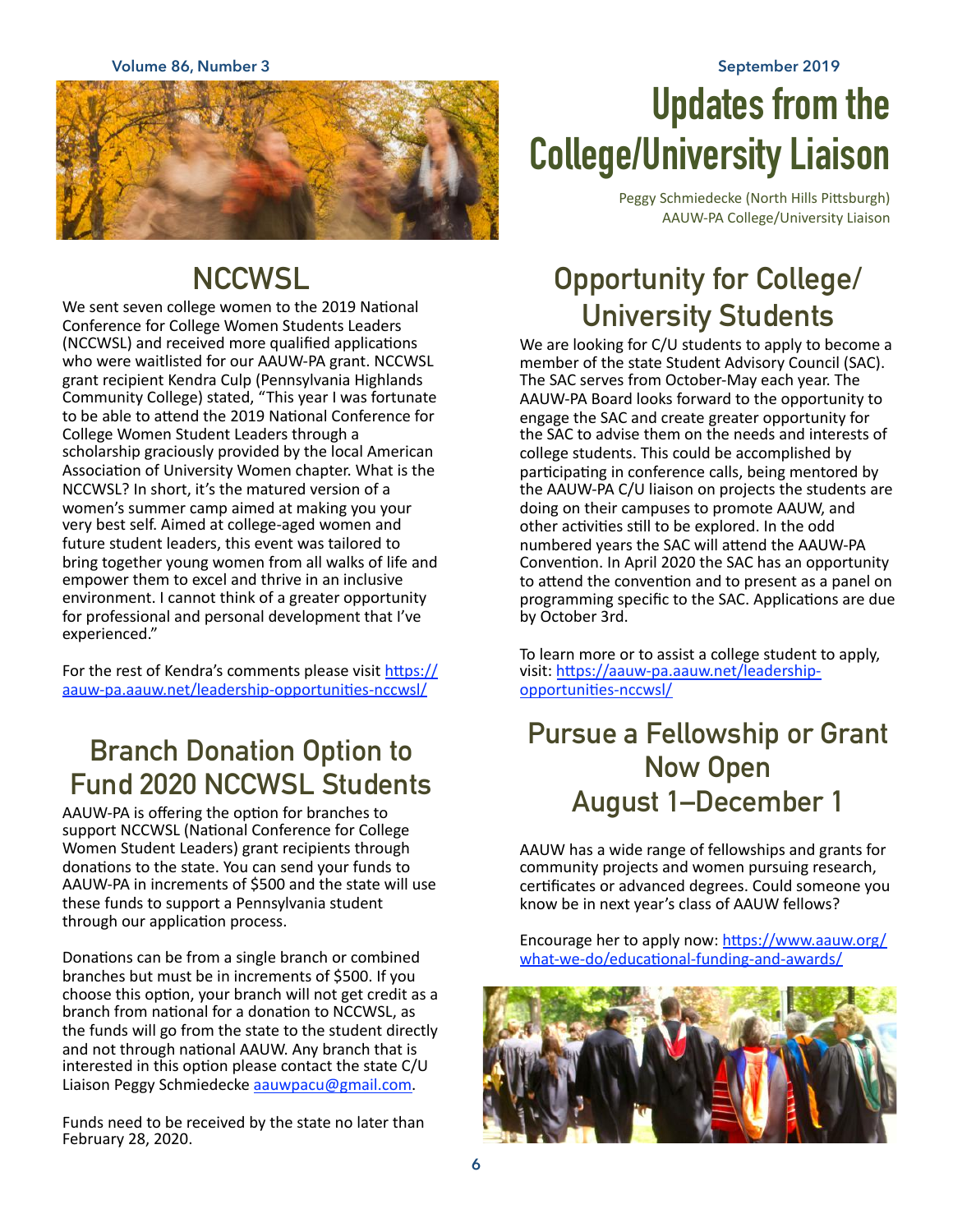**Volume 86, Number 3 September 2019**



### **NCCWSL**

We sent seven college women to the 2019 National Conference for College Women Students Leaders (NCCWSL) and received more qualified applications who were waitlisted for our AAUW-PA grant. NCCWSL grant recipient Kendra Culp (Pennsylvania Highlands Community College) stated, "This year I was fortunate to be able to attend the 2019 National Conference for College Women Student Leaders through a scholarship graciously provided by the local American Association of University Women chapter. What is the NCCWSL? In short, it's the matured version of a women's summer camp aimed at making you your very best self. Aimed at college-aged women and future student leaders, this event was tailored to bring together young women from all walks of life and empower them to excel and thrive in an inclusive environment. I cannot think of a greater opportunity for professional and personal development that I've experienced."

For the rest of Kendra's comments please visit https:// aauw-pa.aauw.net/leadership-opportunities-nccwsl/

### **Branch Donation Option to Fund 2020 NCCWSL Students**

AAUW-PA is offering the option for branches to support NCCWSL (National Conference for College Women Student Leaders) grant recipients through donations to the state. You can send your funds to AAUW-PA in increments of \$500 and the state will use these funds to support a Pennsylvania student through our application process.

Donations can be from a single branch or combined branches but must be in increments of \$500. If you choose this option, your branch will not get credit as a branch from national for a donation to NCCWSL, as the funds will go from the state to the student directly and not through national AAUW. Any branch that is interested in this option please contact the state  $C/U$ Liaison Peggy Schmiedecke [aauwpacu@gmail.com.](mailto:aauwpacu@gmail.com)

Funds need to be received by the state no later than February 28, 2020.

## **Updates from the College/University Liaison**

Peggy Schmiedecke (North Hills Pittsburgh) AAUW-PA College/University Liaison

### **Opportunity for College/ University Students**

We are looking for C/U students to apply to become a member of the state Student Advisory Council (SAC). The SAC serves from October-May each year. The AAUW-PA Board looks forward to the opportunity to engage the SAC and create greater opportunity for the SAC to advise them on the needs and interests of college students. This could be accomplished by participating in conference calls, being mentored by the AAUW-PA C/U liaison on projects the students are doing on their campuses to promote AAUW, and other activities still to be explored. In the odd numbered years the SAC will attend the AAUW-PA Convention. In April 2020 the SAC has an opportunity to attend the convention and to present as a panel on programming specific to the SAC. Applications are due by October 3rd.

To learn more or to assist a college student to apply, visit: https://aauw-pa.aauw.net/leadership[opportuni?es-nccwsl/](https://aauw-pa.aauw.net/leadership-opportunities-nccwsl/) 

#### **Pursue a Fellowship or Grant Now Open August 1–December 1**

AAUW has a wide range of fellowships and grants for community projects and women pursuing research, certificates or advanced degrees. Could someone you know be in next year's class of AAUW fellows?

Encourage her to apply now: https://www.aauw.org/ what-we-do/educational-funding-and-awards/

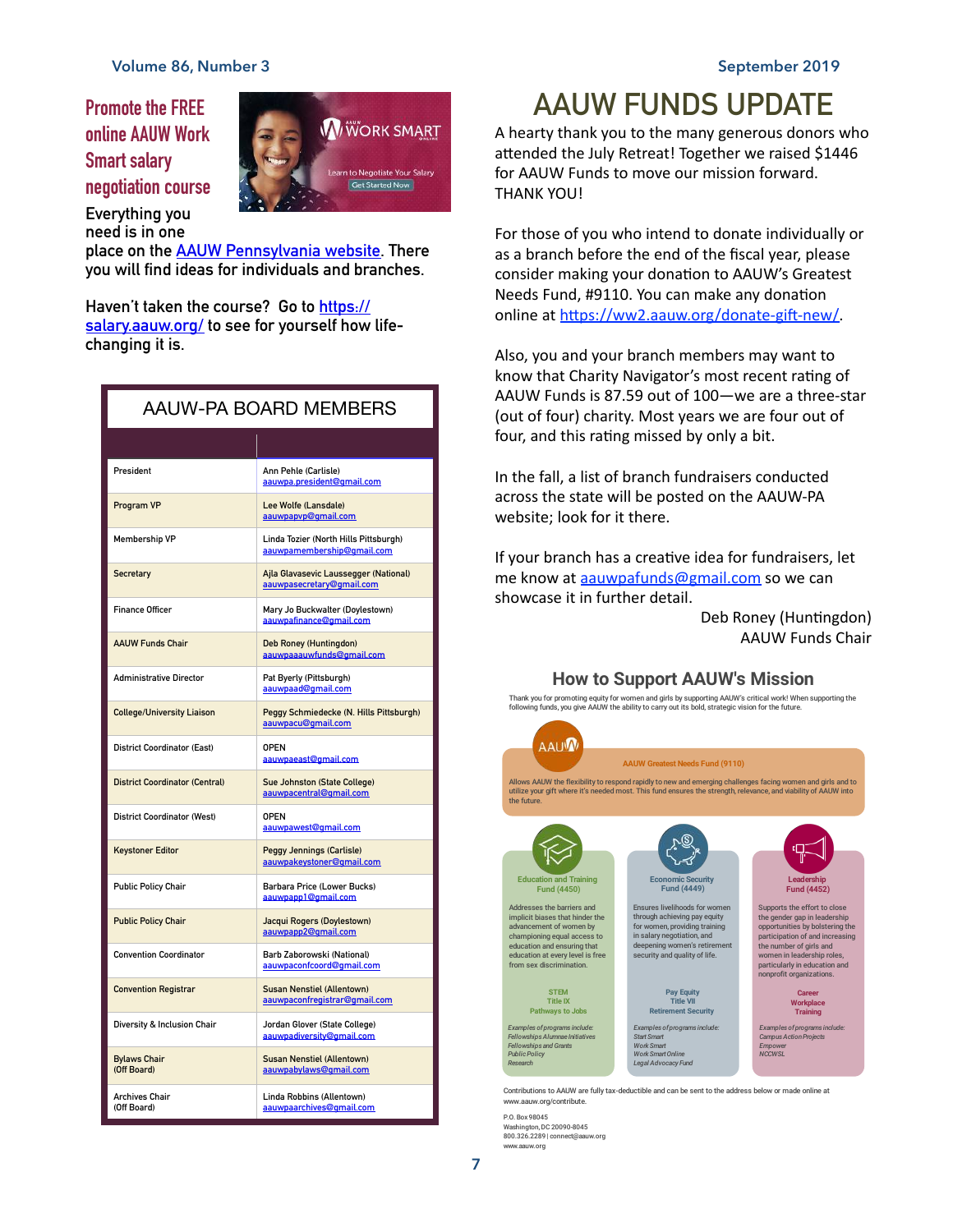**Promote the FREE online AAUW Work Smart salary negotiation course** 



**Everything you need is in one** 

**place on the [AAUW Pennsylvania website.](http://aauw-pa.aauw.net/aauw-work-smart/) There you will find ideas for individuals and branches.** 

**Haven't taken the course? Go to [https://](https://salary.aauw.org/) [salary.aauw.org/](https://salary.aauw.org/) to see for yourself how lifechanging it is.**

| <b>AAUW-PA BOARD MEMBERS</b>          |                                                                     |  |
|---------------------------------------|---------------------------------------------------------------------|--|
|                                       |                                                                     |  |
| President                             | Ann Pehle (Carlisle)<br>aauwpa.president@gmail.com                  |  |
| Program VP                            | Lee Wolfe (Lansdale)<br>aauwpapyp@gmail.com                         |  |
| <b>Membership VP</b>                  | Linda Tozier (North Hills Pittsburgh)<br>aauwpamembership@qmail.com |  |
| <b>Secretary</b>                      | Ajla Glavasevic Laussegger (National)<br>aauwpasecretary@gmail.com  |  |
| <b>Finance Officer</b>                | Mary Jo Buckwalter (Doylestown)<br>aauwpafinance@gmail.com          |  |
| <b>AAUW Funds Chair</b>               | Deb Roney (Huntingdon)<br>aauwpaaauwfunds@gmail.com                 |  |
| <b>Administrative Director</b>        | Pat Byerly (Pittsburgh)<br>aauwpaad@gmail.com                       |  |
| <b>College/University Liaison</b>     | Peggy Schmiedecke (N. Hills Pittsburgh)<br>aauwpacu@gmail.com       |  |
| <b>District Coordinator (East)</b>    | <b>OPEN</b><br>aauwpaeast@gmail.com                                 |  |
| <b>District Coordinator (Central)</b> | Sue Johnston (State College)<br>aauwpacentral@gmail.com             |  |
| <b>District Coordinator (West)</b>    | <b>OPEN</b><br>aauwpawest@gmail.com                                 |  |
| <b>Keystoner Editor</b>               | <b>Peggy Jennings (Carlisle)</b><br>aauwpakeystoner@qmail.com       |  |
| <b>Public Policy Chair</b>            | Barbara Price (Lower Bucks)<br>aauwpapp1@gmail.com                  |  |
| <b>Public Policy Chair</b>            | Jacqui Rogers (Doylestown)<br>aauwpapp2@gmail.com                   |  |
| <b>Convention Coordinator</b>         | Barb Zaborowski (National)<br>aauwpaconfcoord@qmail.com             |  |
| <b>Convention Registrar</b>           | <b>Susan Nenstiel (Allentown)</b><br>aauwpaconfreqistrar@qmail.com  |  |
| Diversity & Inclusion Chair           | Jordan Glover (State College)<br>aauwpadiversitv@gmail.com          |  |
| <b>Bylaws Chair</b><br>(Off Board)    | <b>Susan Nenstiel (Allentown)</b><br>aauwpabylaws@gmail.com         |  |
| <b>Archives Chair</b><br>(Off Board)  | Linda Robbins (Allentown)<br>aauwpaarchives@gmail.com               |  |

#### **AAUW FUNDS UPDATE**

A hearty thank you to the many generous donors who attended the July Retreat! Together we raised \$1446 for AAUW Funds to move our mission forward. THANK YOU!

For those of you who intend to donate individually or as a branch before the end of the fiscal year, please consider making your donation to AAUW's Greatest Needs Fund, #9110. You can make any donation online at https://ww2.aauw.org/donate-gift-new/.

Also, you and your branch members may want to know that Charity Navigator's most recent rating of AAUW Funds is 87.59 out of 100—we are a three-star (out of four) charity. Most years we are four out of four, and this rating missed by only a bit.

In the fall, a list of branch fundraisers conducted across the state will be posted on the AAUW-PA website; look for it there.

If your branch has a creative idea for fundraisers, let me know at aauwpafunds@gmail.com so we can showcase it in further detail.

> Deb Roney (Huntingdon) AAUW Funds Chair

#### **How to Support AAUW's Mission**



www.aauw.org/contribute.

P.O. Box98045 Washington,DC 20090-8045 800.326.2289 | connect@aauw.org w.aauw.org